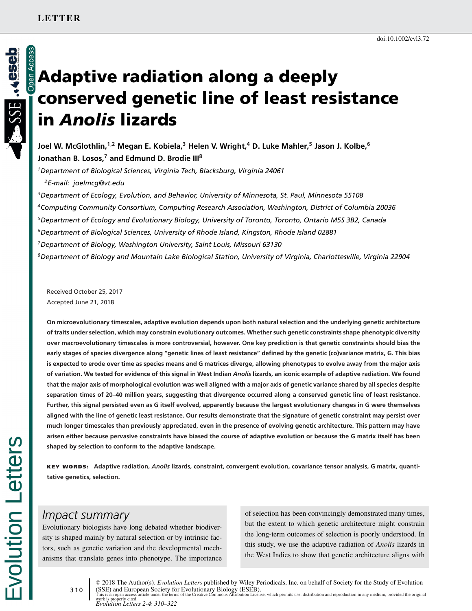# **Adaptive radiation along a deeply conserved genetic line of least resistance in** *Anolis* **lizards**

**Joel W. McGlothlin,1,2 Megan E. Kobiela,3 Helen V. Wright,4 D. Luke Mahler,<sup>5</sup> Jason J. Kolbe,<sup>6</sup> Jonathan B. Losos,<sup>7</sup> and Edmund D. Brodie III<sup>8</sup>**

*1Department of Biological Sciences, Virginia Tech, Blacksburg, Virginia 24061*

*2E-mail: joelmcg@vt.edu*

*3Department of Ecology, Evolution, and Behavior, University of Minnesota, St. Paul, Minnesota 55108 4Computing Community Consortium, Computing Research Association, Washington, District of Columbia 20036 5Department of Ecology and Evolutionary Biology, University of Toronto, Toronto, Ontario M5S 3B2, Canada 6Department of Biological Sciences, University of Rhode Island, Kingston, Rhode Island 02881 7Department of Biology, Washington University, Saint Louis, Missouri 63130 8Department of Biology and Mountain Lake Biological Station, University of Virginia, Charlottesville, Virginia 22904*

Received October 25, 2017 Accepted June 21, 2018

**On microevolutionary timescales, adaptive evolution depends upon both natural selection and the underlying genetic architecture of traits under selection, which may constrain evolutionary outcomes. Whether such genetic constraints shape phenotypic diversity over macroevolutionary timescales is more controversial, however. One key prediction is that genetic constraints should bias the early stages of species divergence along "genetic lines of least resistance" defined by the genetic (co)variance matrix, G. This bias is expected to erode over time as species means and G matrices diverge, allowing phenotypes to evolve away from the major axis of variation. We tested for evidence of this signal in West Indian** *Anolis* **lizards, an iconic example of adaptive radiation. We found that the major axis of morphological evolution was well aligned with a major axis of genetic variance shared by all species despite separation times of 20–40 million years, suggesting that divergence occurred along a conserved genetic line of least resistance. Further, this signal persisted even as G itself evolved, apparently because the largest evolutionary changes in G were themselves aligned with the line of genetic least resistance. Our results demonstrate that the signature of genetic constraint may persist over much longer timescales than previously appreciated, even in the presence of evolving genetic architecture. This pattern may have arisen either because pervasive constraints have biased the course of adaptive evolution or because the G matrix itself has been shaped by selection to conform to the adaptive landscape.**

**KEY WORDS: Adaptive radiation,** *Anolis* **lizards, constraint, convergent evolution, covariance tensor analysis, G matrix, quantitative genetics, selection.**

# *Impact summary*

volution Letters

Evolutionary biologists have long debated whether biodiversity is shaped mainly by natural selection or by intrinsic factors, such as genetic variation and the developmental mechanisms that translate genes into phenotype. The importance of selection has been convincingly demonstrated many times, but the extent to which genetic architecture might constrain the long-term outcomes of selection is poorly understood. In this study, we use the adaptive radiation of *Anolis* lizards in the West Indies to show that genetic architecture aligns with

310 -<sup>C</sup> 2018 The Author(s). *Evolution Letters* published by Wiley Periodicals, Inc. on behalf of Society for the Study of Evolution (SSE) and European Society for Evolutionary Biology (ESEB). This is an open access article under the terms of the [Creative Commons Attribution](http://creativecommons.org/licenses/by/4.0/) License, which permits use, distribution and reproduction in any medium, provided the original

work is properly cited. *Evolution Letters 2-4: 310–322*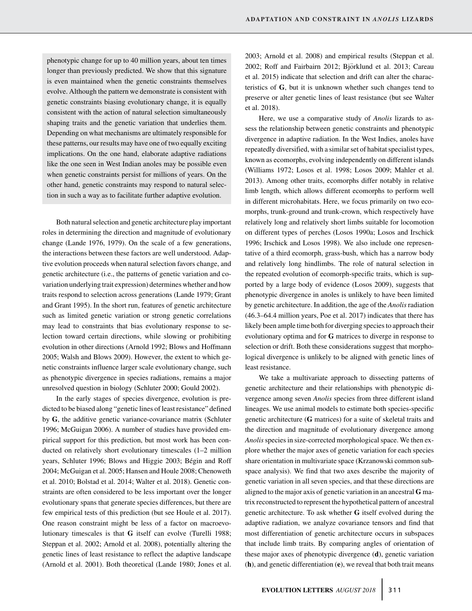phenotypic change for up to 40 million years, about ten times longer than previously predicted. We show that this signature is even maintained when the genetic constraints themselves evolve. Although the pattern we demonstrate is consistent with genetic constraints biasing evolutionary change, it is equally consistent with the action of natural selection simultaneously shaping traits and the genetic variation that underlies them. Depending on what mechanisms are ultimately responsible for these patterns, our results may have one of two equally exciting implications. On the one hand, elaborate adaptive radiations like the one seen in West Indian anoles may be possible even when genetic constraints persist for millions of years. On the other hand, genetic constraints may respond to natural selection in such a way as to facilitate further adaptive evolution.

Both natural selection and genetic architecture play important roles in determining the direction and magnitude of evolutionary change (Lande 1976, 1979). On the scale of a few generations, the interactions between these factors are well understood. Adaptive evolution proceeds when natural selection favors change, and genetic architecture (i.e., the patterns of genetic variation and covariation underlying trait expression) determines whether and how traits respond to selection across generations (Lande 1979; Grant and Grant 1995). In the short run, features of genetic architecture such as limited genetic variation or strong genetic correlations may lead to constraints that bias evolutionary response to selection toward certain directions, while slowing or prohibiting evolution in other directions (Arnold 1992; Blows and Hoffmann 2005; Walsh and Blows 2009). However, the extent to which genetic constraints influence larger scale evolutionary change, such as phenotypic divergence in species radiations, remains a major unresolved question in biology (Schluter 2000; Gould 2002).

In the early stages of species divergence, evolution is predicted to be biased along "genetic lines of least resistance" defined by **G**, the additive genetic variance-covariance matrix (Schluter 1996; McGuigan 2006). A number of studies have provided empirical support for this prediction, but most work has been conducted on relatively short evolutionary timescales (1–2 million years, Schluter 1996; Blows and Higgie 2003; Bégin and Roff 2004; McGuigan et al. 2005; Hansen and Houle 2008; Chenoweth et al. 2010; Bolstad et al. 2014; Walter et al. 2018). Genetic constraints are often considered to be less important over the longer evolutionary spans that generate species differences, but there are few empirical tests of this prediction (but see Houle et al. 2017). One reason constraint might be less of a factor on macroevolutionary timescales is that **G** itself can evolve (Turelli 1988; Steppan et al. 2002; Arnold et al. 2008), potentially altering the genetic lines of least resistance to reflect the adaptive landscape (Arnold et al. 2001). Both theoretical (Lande 1980; Jones et al.

2003; Arnold et al. 2008) and empirical results (Steppan et al. 2002; Roff and Fairbairn 2012; Björklund et al. 2013; Careau et al. 2015) indicate that selection and drift can alter the characteristics of **G**, but it is unknown whether such changes tend to preserve or alter genetic lines of least resistance (but see Walter et al. 2018).

Here, we use a comparative study of *Anolis* lizards to assess the relationship between genetic constraints and phenotypic divergence in adaptive radiation. In the West Indies, anoles have repeatedly diversified, with a similar set of habitat specialist types, known as ecomorphs, evolving independently on different islands (Williams 1972; Losos et al. 1998; Losos 2009; Mahler et al. 2013). Among other traits, ecomorphs differ notably in relative limb length, which allows different ecomorphs to perform well in different microhabitats. Here, we focus primarily on two ecomorphs, trunk-ground and trunk-crown, which respectively have relatively long and relatively short limbs suitable for locomotion on different types of perches (Losos 1990a; Losos and Irschick 1996; Irschick and Losos 1998). We also include one representative of a third ecomorph, grass-bush, which has a narrow body and relatively long hindlimbs. The role of natural selection in the repeated evolution of ecomorph-specific traits, which is supported by a large body of evidence (Losos 2009), suggests that phenotypic divergence in anoles is unlikely to have been limited by genetic architecture. In addition, the age of the *Anolis*radiation (46.3–64.4 million years, Poe et al. 2017) indicates that there has likely been ample time both for diverging species to approach their evolutionary optima and for **G** matrices to diverge in response to selection or drift. Both these considerations suggest that morphological divergence is unlikely to be aligned with genetic lines of least resistance.

We take a multivariate approach to dissecting patterns of genetic architecture and their relationships with phenotypic divergence among seven *Anolis* species from three different island lineages. We use animal models to estimate both species-specific genetic architecture (**G** matrices) for a suite of skeletal traits and the direction and magnitude of evolutionary divergence among *Anolis*species in size-corrected morphological space. We then explore whether the major axes of genetic variation for each species share orientation in multivariate space (Krzanowski common subspace analysis). We find that two axes describe the majority of genetic variation in all seven species, and that these directions are aligned to the major axis of genetic variation in an ancestral **G** matrix reconstructed to represent the hypothetical pattern of ancestral genetic architecture. To ask whether **G** itself evolved during the adaptive radiation, we analyze covariance tensors and find that most differentiation of genetic architecture occurs in subspaces that include limb traits. By comparing angles of orientation of these major axes of phenotypic divergence (**d**), genetic variation (**h**), and genetic differentiation (**e**), we reveal that both trait means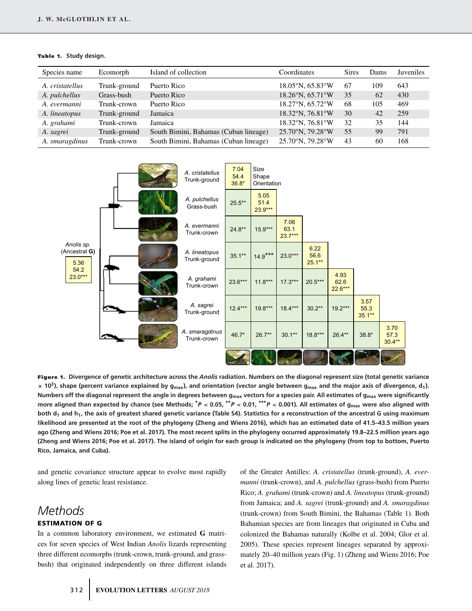|  | <b>Table 1.</b> Study design. |
|--|-------------------------------|
|  |                               |

| Species name    | Ecomorph     | Island of collection                  | Coordinates                           | <b>Sires</b> | Dams | Juveniles |
|-----------------|--------------|---------------------------------------|---------------------------------------|--------------|------|-----------|
| A. cristatellus | Trunk-ground | Puerto Rico                           | $18.05^{\circ}$ N, 65.83 $^{\circ}$ W | 67           | 109  | 643       |
| A. pulchellus   | Grass-bush   | Puerto Rico                           | 18.26°N, 65.71°W                      | 35           | 62   | 430       |
| A. evermanni    | Trunk-crown  | Puerto Rico                           | 18.27°N, 65.72°W                      | 68           | 105  | 469       |
| A. lineatopus   | Trunk-ground | Jamaica                               | 18.32°N, 76.81°W                      | 30           | 42   | 259       |
| A. grahami      | Trunk-crown  | Jamaica                               | $18.32^{\circ}$ N. 76.81 $^{\circ}$ W | 32           | 35   | 144       |
| A. sagrei       | Trunk-ground | South Bimini, Bahamas (Cuban lineage) | 25.70°N, 79.28°W                      | 55           | 99   | 791       |
| A. smaragdinus  | Trunk-crown  | South Bimini, Bahamas (Cuban lineage) | 25.70°N, 79.28°W                      | 43           | 60   | 168       |



**Figure 1. Divergence of genetic architecture across the** *Anolis* **radiation. Numbers on the diagonal represent size (total genetic variance <sup>×</sup> 103), shape (percent variance explained by gmax), and orientation (vector angle between gmax and the major axis of divergence, d1). Numbers off the diagonal represent the angle in degrees between gmax vectors for a species pair. All estimates of gmax were significantly** more aligned than expected by chance (see Methods;  $^*P < 0.05,$   $^{**}P < 0.01,$   $^{***}P < 0.001$ ). All estimates of g<sub>max</sub> were also aligned with both d<sub>1</sub> and h<sub>1</sub>, the axis of greatest shared genetic variance (Table S4). Statistics for a reconstruction of the ancestral G using maximum **likelihood are presented at the root of the phylogeny (Zheng and Wiens 2016), which has an estimated date of 41.5–43.5 million years ago (Zheng and Wiens 2016; Poe et al. 2017). The most recent splits in the phylogeny occurred approximately 19.8–22.5 million years ago (Zheng and Wiens 2016; Poe et al. 2017). The island of origin for each group is indicated on the phylogeny (from top to bottom, Puerto Rico, Jamaica, and Cuba).**

and genetic covariance structure appear to evolve most rapidly along lines of genetic least resistance.

# *Methods* **ESTIMATION OF G**

In a common laboratory environment, we estimated **G** matrices for seven species of West Indian *Anolis* lizards representing three different ecomorphs (trunk-crown, trunk-ground, and grassbush) that originated independently on three different islands of the Greater Antilles: *A. cristatellus* (trunk-ground), *A. evermanni* (trunk-crown), and *A. pulchellus* (grass-bush) from Puerto Rico; *A. grahami* (trunk-crown) and *A. lineatopus* (trunk-ground) from Jamaica; and *A. sagrei* (trunk-ground) and *A. smaragdinus* (trunk-crown) from South Bimini, the Bahamas (Table 1). Both Bahamian species are from lineages that originated in Cuba and colonized the Bahamas naturally (Kolbe et al. 2004; Glor et al. 2005). These species represent lineages separated by approximately 20–40 million years (Fig. 1) (Zheng and Wiens 2016; Poe et al. 2017).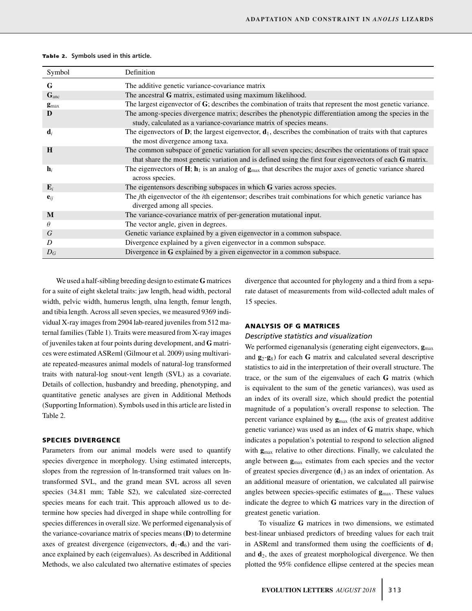|  | Table 2. Symbols used in this article. |  |  |  |  |
|--|----------------------------------------|--|--|--|--|
|--|----------------------------------------|--|--|--|--|

| Symbol           | Definition                                                                                                                                                                                                            |
|------------------|-----------------------------------------------------------------------------------------------------------------------------------------------------------------------------------------------------------------------|
| G                | The additive genetic variance-covariance matrix                                                                                                                                                                       |
| $G_{anc}$        | The ancestral G matrix, estimated using maximum likelihood.                                                                                                                                                           |
| $gmax$           | The largest eigenvector of G; describes the combination of traits that represent the most genetic variance.                                                                                                           |
| D                | The among-species divergence matrix; describes the phenotypic differentiation among the species in the<br>study, calculated as a variance-covariance matrix of species means.                                         |
| $\mathbf{d}_i$   | The eigenvectors of <b>D</b> ; the largest eigenvector, $\mathbf{d}_1$ , describes the combination of traits with that captures<br>the most divergence among taxa.                                                    |
| H                | The common subspace of genetic variation for all seven species; describes the orientations of trait space<br>that share the most genetic variation and is defined using the first four eigenvectors of each G matrix. |
| $\mathbf{h}_{i}$ | The eigenvectors of $H$ ; $h_1$ is an analog of $g_{max}$ that describes the major axes of genetic variance shared<br>across species.                                                                                 |
| $\mathbf{E}_i$   | The eigentensors describing subspaces in which $G$ varies across species.                                                                                                                                             |
| ${\bf e}_{ii}$   | The <i>j</i> th eigenvector of the <i>i</i> th eigentensor; describes trait combinations for which genetic variance has<br>diverged among all species.                                                                |
| M                | The variance-covariance matrix of per-generation mutational input.                                                                                                                                                    |
| $\theta$         | The vector angle, given in degrees.                                                                                                                                                                                   |
| G                | Genetic variance explained by a given eigenvector in a common subspace.                                                                                                                                               |
| D                | Divergence explained by a given eigenvector in a common subspace.                                                                                                                                                     |
| $D_G$            | Divergence in G explained by a given eigenvector in a common subspace.                                                                                                                                                |

We used a half-sibling breeding design to estimate **G** matrices for a suite of eight skeletal traits: jaw length, head width, pectoral width, pelvic width, humerus length, ulna length, femur length, and tibia length. Across all seven species, we measured 9369 individual X-ray images from 2904 lab-reared juveniles from 512 maternal families (Table 1). Traits were measured from X-ray images of juveniles taken at four points during development, and **G** matrices were estimated ASReml (Gilmour et al. 2009) using multivariate repeated-measures animal models of natural-log transformed traits with natural-log snout-vent length (SVL) as a covariate. Details of collection, husbandry and breeding, phenotyping, and quantitative genetic analyses are given in Additional Methods (Supporting Information). Symbols used in this article are listed in Table 2.

## **SPECIES DIVERGENCE**

Parameters from our animal models were used to quantify species divergence in morphology. Using estimated intercepts, slopes from the regression of ln-transformed trait values on lntransformed SVL, and the grand mean SVL across all seven species (34.81 mm; Table S2), we calculated size-corrected species means for each trait. This approach allowed us to determine how species had diverged in shape while controlling for species differences in overall size. We performed eigenanalysis of the variance-covariance matrix of species means (**D**) to determine axes of greatest divergence (eigenvectors,  $\mathbf{d}_1 - \mathbf{d}_6$ ) and the variance explained by each (eigenvalues). As described in Additional Methods, we also calculated two alternative estimates of species

divergence that accounted for phylogeny and a third from a separate dataset of measurements from wild-collected adult males of 15 species.

## **ANALYSIS OF G MATRICES**

## *Descriptive statistics and visualization*

We performed eigenanalysis (generating eight eigenvectors,  $\mathbf{g}_{\text{max}}$ ) and **g**2-**g**8) for each **G** matrix and calculated several descriptive statistics to aid in the interpretation of their overall structure. The trace, or the sum of the eigenvalues of each **G** matrix (which is equivalent to the sum of the genetic variances), was used as an index of its overall size, which should predict the potential magnitude of a population's overall response to selection. The percent variance explained by  $g_{\text{max}}$  (the axis of greatest additive genetic variance) was used as an index of **G** matrix shape, which indicates a population's potential to respond to selection aligned with **g**max relative to other directions. Finally, we calculated the angle between **g**max estimates from each species and the vector of greatest species divergence  $(d_1)$  as an index of orientation. As an additional measure of orientation, we calculated all pairwise angles between species-specific estimates of **g**max. These values indicate the degree to which **G** matrices vary in the direction of greatest genetic variation.

To visualize **G** matrices in two dimensions, we estimated best-linear unbiased predictors of breeding values for each trait in ASReml and transformed them using the coefficients of  $\mathbf{d}_1$ and **d**2, the axes of greatest morphological divergence. We then plotted the 95% confidence ellipse centered at the species mean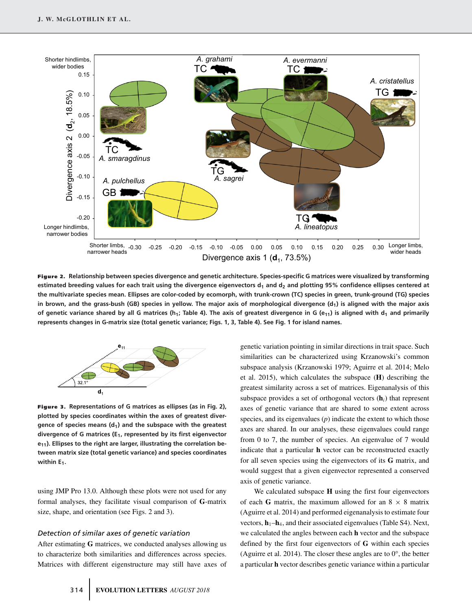

**Figure 2. Relationship between species divergence and genetic architecture. Species-specific G matrices were visualized by transforming** estimated breeding values for each trait using the divergence eigenvectors d<sub>1</sub> and d<sub>2</sub> and plotting 95% confidence ellipses centered at **the multivariate species mean. Ellipses are color-coded by ecomorph, with trunk-crown (TC) species in green, trunk-ground (TG) species** in brown, and the grass-bush (GB) species in yellow. The major axis of morphological divergence (d<sub>1</sub>) is aligned with the major axis of genetic variance shared by all G matrices (h<sub>1</sub>; Table 4). The axis of greatest divergence in G (e<sub>11</sub>) is aligned with d<sub>1</sub> and primarily **represents changes in G-matrix size (total genetic variance; Figs. 1, 3, Table 4). See Fig. 1 for island names.**



**Figure 3. Representations of G matrices as ellipses (as in Fig. 2), plotted by species coordinates within the axes of greatest diver**gence of species means (d<sub>1</sub>) and the subspace with the greatest **divergence of G matrices (E1, represented by its first eigenvector** e<sub>11</sub>). Ellipses to the right are larger, illustrating the correlation be**tween matrix size (total genetic variance) and species coordinates** within E<sub>1</sub>.

using JMP Pro 13.0. Although these plots were not used for any formal analyses, they facilitate visual comparison of **G**-matrix size, shape, and orientation (see Figs. 2 and 3).

# *Detection of similar axes of genetic variation*

After estimating **G** matrices, we conducted analyses allowing us to characterize both similarities and differences across species. Matrices with different eigenstructure may still have axes of

genetic variation pointing in similar directions in trait space. Such similarities can be characterized using Krzanowski's common subspace analysis (Krzanowski 1979; Aguirre et al. 2014; Melo et al. 2015), which calculates the subspace (**H**) describing the greatest similarity across a set of matrices. Eigenanalysis of this subspace provides a set of orthogonal vectors (**h***i*) that represent axes of genetic variance that are shared to some extent across species, and its eigenvalues  $(p)$  indicate the extent to which those axes are shared. In our analyses, these eigenvalues could range from 0 to 7, the number of species. An eigenvalue of 7 would indicate that a particular **h** vector can be reconstructed exactly for all seven species using the eigenvectors of its **G** matrix, and would suggest that a given eigenvector represented a conserved axis of genetic variance.

We calculated subspace **H** using the first four eigenvectors of each **G** matrix, the maximum allowed for an  $8 \times 8$  matrix (Aguirre et al. 2014) and performed eigenanalysis to estimate four vectors,  $h_1$ – $h_4$ , and their associated eigenvalues (Table S4). Next, we calculated the angles between each **h** vector and the subspace defined by the first four eigenvectors of **G** within each species (Aguirre et al. 2014). The closer these angles are to  $0^{\circ}$ , the better a particular **h** vector describes genetic variance within a particular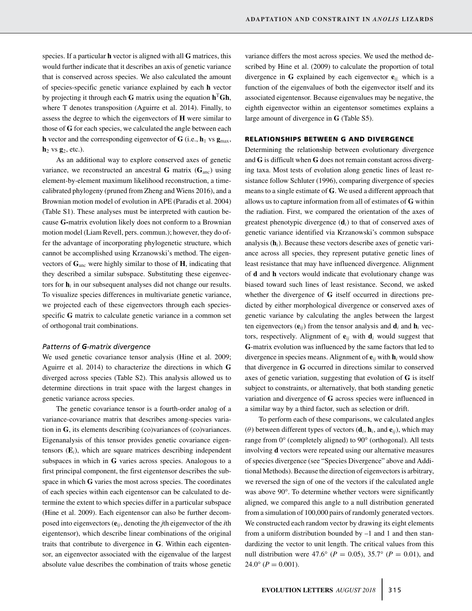species. If a particular **h** vector is aligned with all **G** matrices, this would further indicate that it describes an axis of genetic variance that is conserved across species. We also calculated the amount of species-specific genetic variance explained by each **h** vector by projecting it through each **G** matrix using the equation  $h<sup>T</sup> Gh$ , where T denotes transposition (Aguirre et al. 2014). Finally, to assess the degree to which the eigenvectors of **H** were similar to those of **G** for each species, we calculated the angle between each **h** vector and the corresponding eigenvector of  $\mathbf{G}$  (i.e.,  $\mathbf{h}_1$  vs  $\mathbf{g}_{\text{max}}$ ,  $h_2$  vs  $g_2$ , etc.).

As an additional way to explore conserved axes of genetic variance, we reconstructed an ancestral **G** matrix  $(G<sub>anc</sub>)$  using element-by-element maximum likelihood reconstruction, a timecalibrated phylogeny (pruned from Zheng and Wiens 2016), and a Brownian motion model of evolution in APE (Paradis et al. 2004) (Table S1). These analyses must be interpreted with caution because **G-**matrix evolution likely does not conform to a Brownian motion model (Liam Revell, pers. commun.); however, they do offer the advantage of incorporating phylogenetic structure, which cannot be accomplished using Krzanowski's method. The eigenvectors of **G**anc were highly similar to those of **H**, indicating that they described a similar subspace. Substituting these eigenvectors for  $\mathbf{h}_i$  in our subsequent analyses did not change our results. To visualize species differences in multivariate genetic variance, we projected each of these eigenvectors through each speciesspecific **G** matrix to calculate genetic variance in a common set of orthogonal trait combinations.

## *Patterns of G-matrix divergence*

We used genetic covariance tensor analysis (Hine et al. 2009; Aguirre et al. 2014) to characterize the directions in which **G** diverged across species (Table S2). This analysis allowed us to determine directions in trait space with the largest changes in genetic variance across species.

The genetic covariance tensor is a fourth-order analog of a variance-covariance matrix that describes among-species variation in **G**, its elements describing (co)variances of (co)variances. Eigenanalysis of this tensor provides genetic covariance eigentensors  $(E_i)$ , which are square matrices describing independent subspaces in which in **G** varies across species. Analogous to a first principal component, the first eigentensor describes the subspace in which **G** varies the most across species. The coordinates of each species within each eigentensor can be calculated to determine the extent to which species differ in a particular subspace (Hine et al. 2009). Each eigentensor can also be further decomposed into eigenvectors (**e***ij*, denoting the *j*th eigenvector of the *i*th eigentensor), which describe linear combinations of the original traits that contribute to divergence in **G**. Within each eigentensor, an eigenvector associated with the eigenvalue of the largest absolute value describes the combination of traits whose genetic

variance differs the most across species. We used the method described by Hine et al. (2009) to calculate the proportion of total divergence in **G** explained by each eigenvector **e***ij,* which is a function of the eigenvalues of both the eigenvector itself and its associated eigentensor. Because eigenvalues may be negative, the eighth eigenvector within an eigentensor sometimes explains a large amount of divergence in **G** (Table S5).

# **RELATIONSHIPS BETWEEN G AND DIVERGENCE**

Determining the relationship between evolutionary divergence and **G** is difficult when **G** does not remain constant across diverging taxa. Most tests of evolution along genetic lines of least resistance follow Schluter (1996), comparing divergence of species means to a single estimate of **G**. We used a different approach that allows us to capture information from all of estimates of **G** within the radiation. First, we compared the orientation of the axes of greatest phenotypic divergence (**d***i*) to that of conserved axes of genetic variance identified via Krzanowski's common subspace analysis (**h***i*). Because these vectors describe axes of genetic variance across all species, they represent putative genetic lines of least resistance that may have influenced divergence. Alignment of **d** and **h** vectors would indicate that evolutionary change was biased toward such lines of least resistance. Second, we asked whether the divergence of **G** itself occurred in directions predicted by either morphological divergence or conserved axes of genetic variance by calculating the angles between the largest ten eigenvectors  $(e_{ij})$  from the tensor analysis and  $\mathbf{d}_i$  and  $\mathbf{h}_i$  vectors, respectively. Alignment of  $e_{ii}$  with  $d_i$  would suggest that **G**-matrix evolution was influenced by the same factors that led to divergence in species means. Alignment of  $e_{ii}$  with  $h_i$  would show that divergence in **G** occurred in directions similar to conserved axes of genetic variation, suggesting that evolution of **G** is itself subject to constraints, or alternatively, that both standing genetic variation and divergence of **G** across species were influenced in a similar way by a third factor, such as selection or drift.

To perform each of these comparisons, we calculated angles ( $\theta$ ) between different types of vectors ( $\mathbf{d}_i$ ,  $\mathbf{h}_i$ , and  $\mathbf{e}_{ij}$ ), which may range from 0° (completely aligned) to 90° (orthogonal). All tests involving **d** vectors were repeated using our alternative measures of species divergence (see "Species Divergence" above and Additional Methods). Because the direction of eigenvectors is arbitrary, we reversed the sign of one of the vectors if the calculated angle was above 90°. To determine whether vectors were significantly aligned, we compared this angle to a null distribution generated from a simulation of 100,000 pairs of randomly generated vectors. We constructed each random vector by drawing its eight elements from a uniform distribution bounded by –1 and 1 and then standardizing the vector to unit length. The critical values from this null distribution were 47.6° ( $P = 0.05$ ), 35.7° ( $P = 0.01$ ), and  $24.0^{\circ}$  ( $P = 0.001$ ).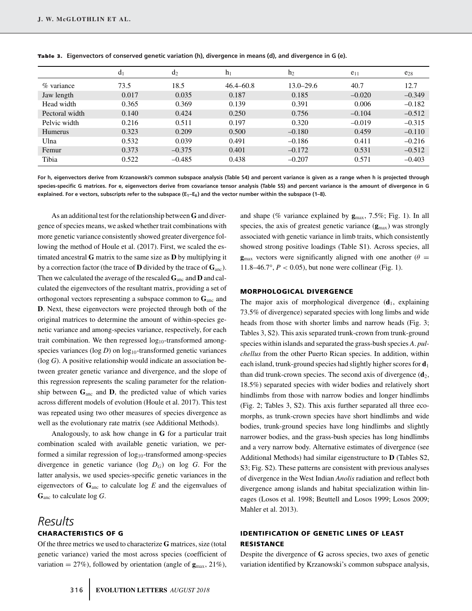|                | $d_1$ | $d_2$    | $h_1$         | h <sub>2</sub> | $e_{11}$ | $e_{28}$ |
|----------------|-------|----------|---------------|----------------|----------|----------|
| $\%$ variance  | 73.5  | 18.5     | $46.4 - 60.8$ | $13.0 - 29.6$  | 40.7     | 12.7     |
| Jaw length     | 0.017 | 0.035    | 0.187         | 0.185          | $-0.020$ | $-0.349$ |
| Head width     | 0.365 | 0.369    | 0.139         | 0.391          | 0.006    | $-0.182$ |
| Pectoral width | 0.140 | 0.424    | 0.250         | 0.756          | $-0.104$ | $-0.512$ |
| Pelvic width   | 0.216 | 0.511    | 0.197         | 0.320          | $-0.019$ | $-0.315$ |
| <b>Humerus</b> | 0.323 | 0.209    | 0.500         | $-0.180$       | 0.459    | $-0.110$ |
| Ulna           | 0.532 | 0.039    | 0.491         | $-0.186$       | 0.411    | $-0.216$ |
| Femur          | 0.373 | $-0.375$ | 0.401         | $-0.172$       | 0.531    | $-0.512$ |
| Tibia          | 0.522 | $-0.485$ | 0.438         | $-0.207$       | 0.571    | $-0.403$ |

**Tab le 3 . Eigenvectors of conserved genetic variation (h), divergence in means (d), and divergence in G (e).**

**For h, eigenvectors derive from Krzanowski's common subspace analysis (Table S4) and percent variance is given as a range when h is projected through species-specific G matrices. For e, eigenvectors derive from covariance tensor analysis (Table S5) and percent variance is the amount of divergence in G** explained. For e vectors, subscripts refer to the subspace (E<sub>1</sub>-E<sub>6</sub>) and the vector number within the subspace (1-8).

As an additional test for the relationship between**G** and divergence of species means, we asked whether trait combinations with more genetic variance consistently showed greater divergence following the method of Houle et al. (2017). First, we scaled the estimated ancestral **G** matrix to the same size as **D** by multiplying it by a correction factor (the trace of **D** divided by the trace of **G**anc). Then we calculated the average of the rescaled **G**anc and **D** and calculated the eigenvectors of the resultant matrix, providing a set of orthogonal vectors representing a subspace common to  $\mathbf{G}_{\text{anc}}$  and **D**. Next, these eigenvectors were projected through both of the original matrices to determine the amount of within-species genetic variance and among-species variance, respectively, for each trait combination. We then regressed  $log_{10}$ -transformed amongspecies variances ( $log D$ ) on  $log_{10}$ -transformed genetic variances (log *G*). A positive relationship would indicate an association between greater genetic variance and divergence, and the slope of this regression represents the scaling parameter for the relationship between  $\mathbf{G}_{\text{anc}}$  and  $\mathbf{D}$ , the predicted value of which varies across different models of evolution (Houle et al. 2017). This test was repeated using two other measures of species divergence as well as the evolutionary rate matrix (see Additional Methods).

Analogously, to ask how change in **G** for a particular trait combination scaled with available genetic variation, we performed a similar regression of log<sub>10</sub>-transformed among-species divergence in genetic variance ( $log D_G$ ) on  $log G$ . For the latter analysis, we used species-specific genetic variances in the eigenvectors of **G**anc to calculate log *E* and the eigenvalues of **G**anc to calculate log *G*.

# *Results* **CHARACTERISTICS OF G**

Of the three metrics we used to characterize **G** matrices, size (total genetic variance) varied the most across species (coefficient of variation =  $27\%$ ), followed by orientation (angle of  $\mathbf{g}_{\text{max}}$ , 21%),

and shape (% variance explained by **g**max, 7.5%; Fig. 1). In all species, the axis of greatest genetic variance (**g**max) was strongly associated with genetic variance in limb traits, which consistently showed strong positive loadings (Table S1). Across species, all  $\mathbf{g}_{\text{max}}$  vectors were significantly aligned with one another ( $\theta =$ 11.8–46.7°,  $P < 0.05$ ), but none were collinear (Fig. 1).

## **MORPHOLOGICAL DIVERGENCE**

The major axis of morphological divergence  $(d_1, e_1)$  explaining 73.5% of divergence) separated species with long limbs and wide heads from those with shorter limbs and narrow heads (Fig. 3; Tables 3, S2). This axis separated trunk-crown from trunk-ground species within islands and separated the grass-bush species *A*. *pulchellus* from the other Puerto Rican species. In addition, within each island, trunk-ground species had slightly higher scores for **d**<sup>1</sup> than did trunk-crown species. The second axis of divergence  $(d_2)$ , 18.5%) separated species with wider bodies and relatively short hindlimbs from those with narrow bodies and longer hindlimbs (Fig. 2; Tables 3, S2). This axis further separated all three ecomorphs, as trunk-crown species have short hindlimbs and wide bodies, trunk-ground species have long hindlimbs and slightly narrower bodies, and the grass-bush species has long hindlimbs and a very narrow body. Alternative estimates of divergence (see Additional Methods) had similar eigenstructure to **D** (Tables S2, S3; Fig. S2). These patterns are consistent with previous analyses of divergence in the West Indian *Anolis* radiation and reflect both divergence among islands and habitat specialization within lineages (Losos et al. 1998; Beuttell and Losos 1999; Losos 2009; Mahler et al. 2013).

# **IDENTIFICATION OF GENETIC LINES OF LEAST RESISTANCE**

Despite the divergence of **G** across species, two axes of genetic variation identified by Krzanowski's common subspace analysis,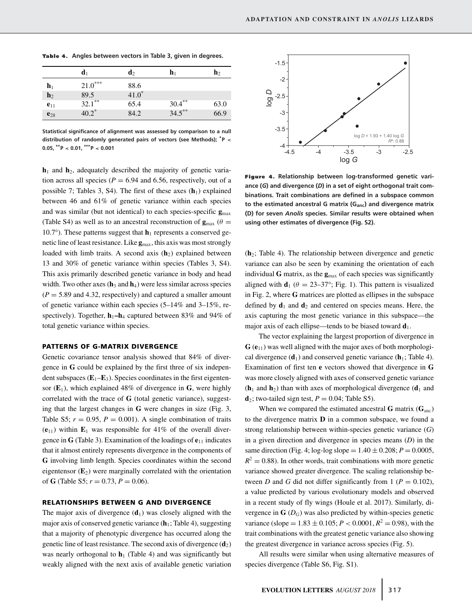|                | $\mathbf{d}_1$ | $\mathbf{d}_2$ | $\mathbf{h}_1$ | $\mathbf{h}_{2}$ |
|----------------|----------------|----------------|----------------|------------------|
| $\mathbf{h}_1$ | $21.0***$      | 88.6           |                |                  |
| $\mathbf{h}_2$ | 89.5           | $41.0*$        |                |                  |
| $e_{11}$       | $32.1***$      | 65.4           | $30.4***$      | 63.0             |
| $e_{28}$       | $40.2^*$       | 84.2           | $34.5***$      | 66.9             |

**Tab le 4. Angles between vectors in Table 3, given in degrees.**

**Statistical significance of alignment was assessed by comparison to a null distribution of randomly generated pairs of vectors (see Methods); <sup>∗</sup> P < 0.05, ∗∗P < 0.01, ∗∗∗P < 0.001**

 $h_1$  and  $h_2$ , adequately described the majority of genetic variation across all species ( $P = 6.94$  and 6.56, respectively, out of a possible 7; Tables 3, S4). The first of these axes  $(h_1)$  explained between 46 and 61% of genetic variance within each species and was similar (but not identical) to each species-specific **g**max (Table S4) as well as to an ancestral reconstruction of  $\mathbf{g}_{\text{max}}$  ( $\theta =$ 10.7°). These patterns suggest that  $h_1$  represents a conserved genetic line of least resistance. Like  $\mathbf{g}_{\text{max}}$ , this axis was most strongly loaded with limb traits. A second axis (h<sub>2</sub>) explained between 13 and 30% of genetic variance within species (Tables 3, S4). This axis primarily described genetic variance in body and head width. Two other axes  $(h_3 \text{ and } h_4)$  were less similar across species  $(P = 5.89$  and 4.32, respectively) and captured a smaller amount of genetic variance within each species (5–14% and 3–15%, respectively). Together,  $h_1 - h_4$  captured between 83% and 94% of total genetic variance within species.

#### **PATTERNS OF G-MATRIX DIVERGENCE**

Genetic covariance tensor analysis showed that 84% of divergence in **G** could be explained by the first three of six independent subspaces  $(E_1-E_3)$ . Species coordinates in the first eigentensor  $(\mathbf{E}_1)$ , which explained 48% of divergence in **G**, were highly correlated with the trace of **G** (total genetic variance), suggesting that the largest changes in **G** were changes in size (Fig. 3, Table S5;  $r = 0.95$ ,  $P = 0.001$ ). A single combination of traits  $(\mathbf{e}_{11})$  within  $\mathbf{E}_1$  was responsible for 41% of the overall divergence in **G** (Table 3). Examination of the loadings of **e**<sup>11</sup> indicates that it almost entirely represents divergence in the components of **G** involving limb length. Species coordinates within the second eigentensor  $(E_2)$  were marginally correlated with the orientation of **G** (Table S5;  $r = 0.73$ ,  $P = 0.06$ ).

#### **RELATIONSHIPS BETWEEN G AND DIVERGENCE**

The major axis of divergence  $(d_1)$  was closely aligned with the major axis of conserved genetic variance  $(h_1; \text{Table 4})$ , suggesting that a majority of phenotypic divergence has occurred along the genetic line of least resistance. The second axis of divergence (**d**2) was nearly orthogonal to  $h_1$  (Table 4) and was significantly but weakly aligned with the next axis of available genetic variation



**Figure 4. Relationship between log-transformed genetic variance (***G***) and divergence (***D***) in a set of eight orthogonal trait combinations. Trait combinations are defined in a subspace common** to the estimated ancestral G matrix (G<sub>anc</sub>) and divergence matrix **(D) for seven** *Anolis* **species. Similar results were obtained when using other estimates of divergence (Fig. S2).**

(**h**2; Table 4). The relationship between divergence and genetic variance can also be seen by examining the orientation of each individual **G** matrix, as the **g**max of each species was significantly aligned with  $\mathbf{d}_1$  ( $\theta = 23-37^{\circ}$ ; Fig. 1). This pattern is visualized in Fig. 2, where **G** matrices are plotted as ellipses in the subspace defined by  $\mathbf{d}_1$  and  $\mathbf{d}_2$  and centered on species means. Here, the axis capturing the most genetic variance in this subspace—the major axis of each ellipse—tends to be biased toward **d**1.

The vector explaining the largest proportion of divergence in  $G(e_{11})$  was well aligned with the major axes of both morphological divergence  $(d_1)$  and conserved genetic variance  $(h_1;$  Table 4). Examination of first ten **e** vectors showed that divergence in **G** was more closely aligned with axes of conserved genetic variance  $(h_1$  and  $h_2)$  than with axes of morphological divergence  $(d_1$  and  $d_2$ ; two-tailed sign test,  $P = 0.04$ ; Table S5).

When we compared the estimated ancestral **G** matrix  $(G<sub>anc</sub>)$ to the divergence matrix **D** in a common subspace, we found a strong relationship between within-species genetic variance (*G*) in a given direction and divergence in species means (*D*) in the same direction (Fig. 4; log-log slope =  $1.40 \pm 0.208$ ; *P* = 0.0005,  $R^2 = 0.88$ ). In other words, trait combinations with more genetic variance showed greater divergence. The scaling relationship between *D* and *G* did not differ significantly from 1 ( $P = 0.102$ ), a value predicted by various evolutionary models and observed in a recent study of fly wings (Houle et al. 2017). Similarly, divergence in  $\mathbf{G}(D_G)$  was also predicted by within-species genetic variance (slope =  $1.83 \pm 0.105$ ;  $P < 0.0001$ ,  $R^2 = 0.98$ ), with the trait combinations with the greatest genetic variance also showing the greatest divergence in variance across species (Fig. 5).

All results were similar when using alternative measures of species divergence (Table S6, Fig. S1).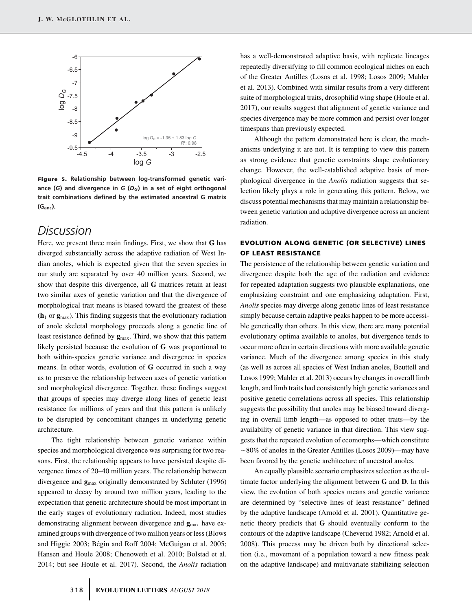

**Figure 5. Relationship between log-transformed genetic variance (***G***) and divergence in** *G* **(***DG***) in a set of eight orthogonal trait combinations defined by the estimated ancestral G matrix (Ganc).**

# *Discussion*

Here, we present three main findings. First, we show that **G** has diverged substantially across the adaptive radiation of West Indian anoles, which is expected given that the seven species in our study are separated by over 40 million years. Second, we show that despite this divergence, all **G** matrices retain at least two similar axes of genetic variation and that the divergence of morphological trait means is biased toward the greatest of these  $(h_1 \text{ or } g_{\text{max}})$ . This finding suggests that the evolutionary radiation of anole skeletal morphology proceeds along a genetic line of least resistance defined by  $\mathbf{g}_{\text{max}}$ . Third, we show that this pattern likely persisted because the evolution of **G** was proportional to both within-species genetic variance and divergence in species means. In other words, evolution of **G** occurred in such a way as to preserve the relationship between axes of genetic variation and morphological divergence. Together, these findings suggest that groups of species may diverge along lines of genetic least resistance for millions of years and that this pattern is unlikely to be disrupted by concomitant changes in underlying genetic architecture.

The tight relationship between genetic variance within species and morphological divergence was surprising for two reasons. First, the relationship appears to have persisted despite divergence times of 20–40 million years. The relationship between divergence and **g**max originally demonstrated by Schluter (1996) appeared to decay by around two million years, leading to the expectation that genetic architecture should be most important in the early stages of evolutionary radiation. Indeed, most studies demonstrating alignment between divergence and **g**max have examined groups with divergence of two million years or less (Blows and Higgie 2003; Bégin and Roff 2004; McGuigan et al. 2005; Hansen and Houle 2008; Chenoweth et al. 2010; Bolstad et al. 2014; but see Houle et al. 2017). Second, the *Anolis* radiation

has a well-demonstrated adaptive basis, with replicate lineages repeatedly diversifying to fill common ecological niches on each of the Greater Antilles (Losos et al. 1998; Losos 2009; Mahler et al. 2013). Combined with similar results from a very different suite of morphological traits, drosophilid wing shape (Houle et al. 2017), our results suggest that alignment of genetic variance and species divergence may be more common and persist over longer timespans than previously expected.

Although the pattern demonstrated here is clear, the mechanisms underlying it are not. It is tempting to view this pattern as strong evidence that genetic constraints shape evolutionary change. However, the well-established adaptive basis of morphological divergence in the *Anolis* radiation suggests that selection likely plays a role in generating this pattern. Below, we discuss potential mechanisms that may maintain a relationship between genetic variation and adaptive divergence across an ancient radiation.

# **EVOLUTION ALONG GENETIC (OR SELECTIVE) LINES OF LEAST RESISTANCE**

The persistence of the relationship between genetic variation and divergence despite both the age of the radiation and evidence for repeated adaptation suggests two plausible explanations, one emphasizing constraint and one emphasizing adaptation. First, *Anolis* species may diverge along genetic lines of least resistance simply because certain adaptive peaks happen to be more accessible genetically than others. In this view, there are many potential evolutionary optima available to anoles, but divergence tends to occur more often in certain directions with more available genetic variance. Much of the divergence among species in this study (as well as across all species of West Indian anoles, Beuttell and Losos 1999; Mahler et al. 2013) occurs by changes in overall limb length, and limb traits had consistently high genetic variances and positive genetic correlations across all species. This relationship suggests the possibility that anoles may be biased toward diverging in overall limb length—as opposed to other traits—by the availability of genetic variance in that direction. This view suggests that the repeated evolution of ecomorphs—which constitute ~80% of anoles in the Greater Antilles (Losos 2009)—may have been favored by the genetic architecture of ancestral anoles.

An equally plausible scenario emphasizes selection as the ultimate factor underlying the alignment between **G** and **D**. In this view, the evolution of both species means and genetic variance are determined by "selective lines of least resistance" defined by the adaptive landscape (Arnold et al. 2001). Quantitative genetic theory predicts that **G** should eventually conform to the contours of the adaptive landscape (Cheverud 1982; Arnold et al. 2008). This process may be driven both by directional selection (i.e., movement of a population toward a new fitness peak on the adaptive landscape) and multivariate stabilizing selection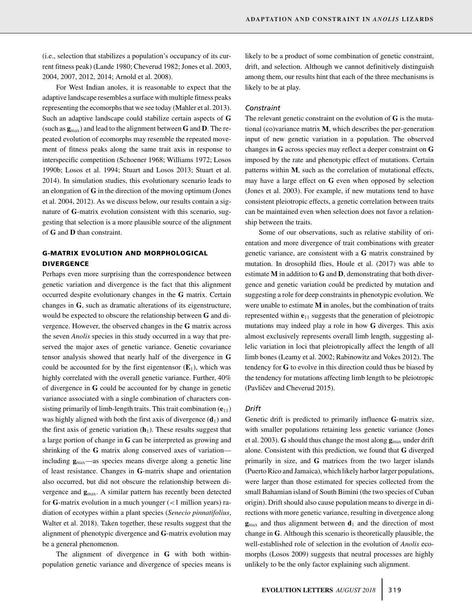(i.e., selection that stabilizes a population's occupancy of its current fitness peak) (Lande 1980; Cheverud 1982; Jones et al. 2003, 2004, 2007, 2012, 2014; Arnold et al. 2008).

For West Indian anoles, it is reasonable to expect that the adaptive landscape resembles a surface with multiple fitness peaks representing the ecomorphs that we see today (Mahler et al. 2013). Such an adaptive landscape could stabilize certain aspects of **G** (such as **g**max) and lead to the alignment between **G** and **D**. The repeated evolution of ecomorphs may resemble the repeated movement of fitness peaks along the same trait axis in response to interspecific competition (Schoener 1968; Williams 1972; Losos 1990b; Losos et al. 1994; Stuart and Losos 2013; Stuart et al. 2014). In simulation studies, this evolutionary scenario leads to an elongation of **G** in the direction of the moving optimum (Jones et al. 2004, 2012). As we discuss below, our results contain a signature of **G**-matrix evolution consistent with this scenario, suggesting that selection is a more plausible source of the alignment of **G** and **D** than constraint.

# **G-MATRIX EVOLUTION AND MORPHOLOGICAL DIVERGENCE**

Perhaps even more surprising than the correspondence between genetic variation and divergence is the fact that this alignment occurred despite evolutionary changes in the **G** matrix. Certain changes in **G**, such as dramatic alterations of its eigenstructure, would be expected to obscure the relationship between **G** and divergence. However, the observed changes in the **G** matrix across the seven *Anolis* species in this study occurred in a way that preserved the major axes of genetic variance. Genetic covariance tensor analysis showed that nearly half of the divergence in **G** could be accounted for by the first eigentensor  $(E_1)$ , which was highly correlated with the overall genetic variance. Further, 40% of divergence in **G** could be accounted for by change in genetic variance associated with a single combination of characters consisting primarily of limb-length traits. This trait combination  $(e_{11})$ was highly aligned with both the first axis of divergence  $(d_1)$  and the first axis of genetic variation  $(h_1)$ . These results suggest that a large portion of change in **G** can be interpreted as growing and shrinking of the **G** matrix along conserved axes of variation including **g**max—as species means diverge along a genetic line of least resistance. Changes in **G**-matrix shape and orientation also occurred, but did not obscure the relationship between divergence and  $g_{\text{max}}$ . A similar pattern has recently been detected for **G**-matrix evolution in a much younger (<1 million years) radiation of ecotypes within a plant species (*Senecio pinnatifolius*, Walter et al. 2018). Taken together, these results suggest that the alignment of phenotypic divergence and **G**-matrix evolution may be a general phenomenon.

The alignment of divergence in **G** with both withinpopulation genetic variance and divergence of species means is likely to be a product of some combination of genetic constraint, drift, and selection. Although we cannot definitively distinguish among them, our results hint that each of the three mechanisms is likely to be at play.

## *Constraint*

The relevant genetic constraint on the evolution of **G** is the mutational (co)variance matrix **M**, which describes the per-generation input of new genetic variation in a population. The observed changes in **G** across species may reflect a deeper constraint on **G** imposed by the rate and phenotypic effect of mutations. Certain patterns within **M**, such as the correlation of mutational effects, may have a large effect on **G** even when opposed by selection (Jones et al. 2003). For example, if new mutations tend to have consistent pleiotropic effects, a genetic correlation between traits can be maintained even when selection does not favor a relationship between the traits.

Some of our observations, such as relative stability of orientation and more divergence of trait combinations with greater genetic variance, are consistent with a **G** matrix constrained by mutation. In drosophild flies, Houle et al. (2017) was able to estimate **M** in addition to **G** and **D**, demonstrating that both divergence and genetic variation could be predicted by mutation and suggesting a role for deep constraints in phenotypic evolution. We were unable to estimate **M** in anoles, but the combination of traits represented within **e**<sup>11</sup> suggests that the generation of pleiotropic mutations may indeed play a role in how **G** diverges. This axis almost exclusively represents overall limb length, suggesting allelic variation in loci that pleiotropically affect the length of all limb bones (Leamy et al. 2002; Rabinowitz and Vokes 2012). The tendency for **G** to evolve in this direction could thus be biased by the tendency for mutations affecting limb length to be pleiotropic (Pavličev and Cheverud 2015).

#### *Drift*

Genetic drift is predicted to primarily influence **G**-matrix size, with smaller populations retaining less genetic variance (Jones et al. 2003). **G** should thus change the most along **g**max under drift alone. Consistent with this prediction, we found that **G** diverged primarily in size, and **G** matrices from the two larger islands (Puerto Rico and Jamaica), which likely harbor larger populations, were larger than those estimated for species collected from the small Bahamian island of South Bimini (the two species of Cuban origin). Drift should also cause population means to diverge in directions with more genetic variance, resulting in divergence along  $g_{\text{max}}$  and thus alignment between  $d_1$  and the direction of most change in **G**. Although this scenario is theoretically plausible, the well-established role of selection in the evolution of *Anolis* ecomorphs (Losos 2009) suggests that neutral processes are highly unlikely to be the only factor explaining such alignment.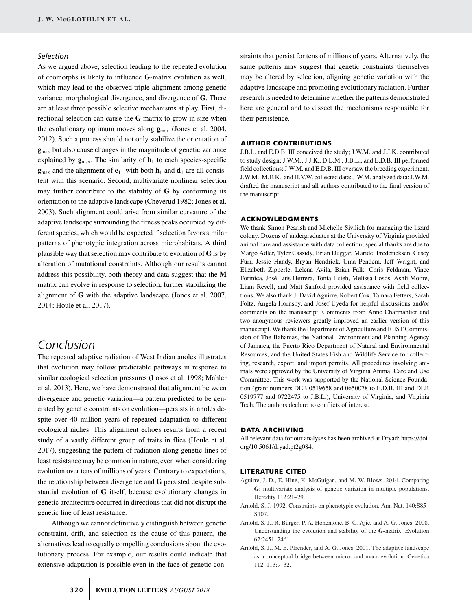# *Selection*

As we argued above, selection leading to the repeated evolution of ecomorphs is likely to influence **G**-matrix evolution as well, which may lead to the observed triple-alignment among genetic variance, morphological divergence, and divergence of **G**. There are at least three possible selective mechanisms at play. First, directional selection can cause the **G** matrix to grow in size when the evolutionary optimum moves along **g**max (Jones et al. 2004, 2012). Such a process should not only stabilize the orientation of **g**max but also cause changes in the magnitude of genetic variance explained by  $g_{\text{max}}$ . The similarity of  $h_1$  to each species-specific  $\mathbf{g}_{\text{max}}$  and the alignment of  $\mathbf{e}_{11}$  with both  $\mathbf{h}_1$  and  $\mathbf{d}_1$  are all consistent with this scenario. Second, multivariate nonlinear selection may further contribute to the stability of **G** by conforming its orientation to the adaptive landscape (Cheverud 1982; Jones et al. 2003). Such alignment could arise from similar curvature of the adaptive landscape surrounding the fitness peaks occupied by different species, which would be expected if selection favors similar patterns of phenotypic integration across microhabitats. A third plausible way that selection may contribute to evolution of **G** is by alteration of mutational constraints. Although our results cannot address this possibility, both theory and data suggest that the **M** matrix can evolve in response to selection, further stabilizing the alignment of **G** with the adaptive landscape (Jones et al. 2007, 2014; Houle et al. 2017).

# *Conclusion*

The repeated adaptive radiation of West Indian anoles illustrates that evolution may follow predictable pathways in response to similar ecological selection pressures (Losos et al. 1998; Mahler et al. 2013). Here, we have demonstrated that alignment between divergence and genetic variation—a pattern predicted to be generated by genetic constraints on evolution—persists in anoles despite over 40 million years of repeated adaptation to different ecological niches. This alignment echoes results from a recent study of a vastly different group of traits in flies (Houle et al. 2017), suggesting the pattern of radiation along genetic lines of least resistance may be common in nature, even when considering evolution over tens of millions of years. Contrary to expectations, the relationship between divergence and **G** persisted despite substantial evolution of **G** itself, because evolutionary changes in genetic architecture occurred in directions that did not disrupt the genetic line of least resistance.

Although we cannot definitively distinguish between genetic constraint, drift, and selection as the cause of this pattern, the alternatives lead to equally compelling conclusions about the evolutionary process. For example, our results could indicate that extensive adaptation is possible even in the face of genetic constraints that persist for tens of millions of years. Alternatively, the same patterns may suggest that genetic constraints themselves may be altered by selection, aligning genetic variation with the adaptive landscape and promoting evolutionary radiation. Further research is needed to determine whether the patterns demonstrated here are general and to dissect the mechanisms responsible for their persistence.

# **AUTHOR CONTRIBUTIONS**

J.B.L. and E.D.B. III conceived the study; J.W.M. and J.J.K. contributed to study design; J.W.M., J.J.K., D.L.M., J.B.L., and E.D.B. III performed field collections; J.W.M. and E.D.B. III oversaw the breeding experiment; J.W.M., M.E.K., and H.V.W. collected data; J.W.M. analyzed data; J.W.M. drafted the manuscript and all authors contributed to the final version of the manuscript.

## **ACKNOWLEDGMENTS**

We thank Simon Pearish and Michelle Sivilich for managing the lizard colony. Dozens of undergraduates at the University of Virginia provided animal care and assistance with data collection; special thanks are due to Margo Adler, Tyler Cassidy, Brian Duggar, Maridel Fredericksen, Casey Furr, Jessie Handy, Bryan Hendrick, Uma Pendem, Jeff Wright, and Elizabeth Zipperle. Leleña Avila, Brian Falk, Chris Feldman, Vince Formica, Jose Luis Herrera, Tonia Hsieh, Melissa Losos, Ashli Moore, ´ Liam Revell, and Matt Sanford provided assistance with field collections. We also thank J. David Aguirre, Robert Cox, Tamara Fetters, Sarah Foltz, Angela Hornsby, and Josef Uyeda for helpful discussions and/or comments on the manuscript. Comments from Anne Charmantier and two anonymous reviewers greatly improved an earlier version of this manuscript. We thank the Department of Agriculture and BEST Commission of The Bahamas, the National Environment and Planning Agency of Jamaica, the Puerto Rico Department of Natural and Environmental Resources, and the United States Fish and Wildlife Service for collecting, research, export, and import permits. All procedures involving animals were approved by the University of Virginia Animal Care and Use Committee. This work was supported by the National Science Foundation (grant numbers DEB 0519658 and 0650078 to E.D.B. III and DEB 0519777 and 0722475 to J.B.L.), University of Virginia, and Virginia Tech. The authors declare no conflicts of interest.

#### **DATA ARCHIVING**

All relevant data for our analyses has been archived at Dryad: [https://doi.](https://doi.org/10.5061/dryad.pt2g084) [org/10.5061/dryad.pt2g084.](https://doi.org/10.5061/dryad.pt2g084)

#### **LITERATURE CITED**

- Aguirre, J. D., E. Hine, K. McGuigan, and M. W. Blows. 2014. Comparing **G**: multivariate analysis of genetic variation in multiple populations. Heredity 112:21–29.
- Arnold, S. J. 1992. Constraints on phenotypic evolution. Am. Nat. 140:S85– S107.
- Arnold, S. J., R. Bürger, P. A. Hohenlohe, B. C. Ajie, and A. G. Jones. 2008. Understanding the evolution and stability of the **G**-matrix. Evolution 62:2451–2461.
- Arnold, S. J., M. E. Pfrender, and A. G. Jones. 2001. The adaptive landscape as a conceptual bridge between micro- and macroevolution. Genetica 112–113:9–32.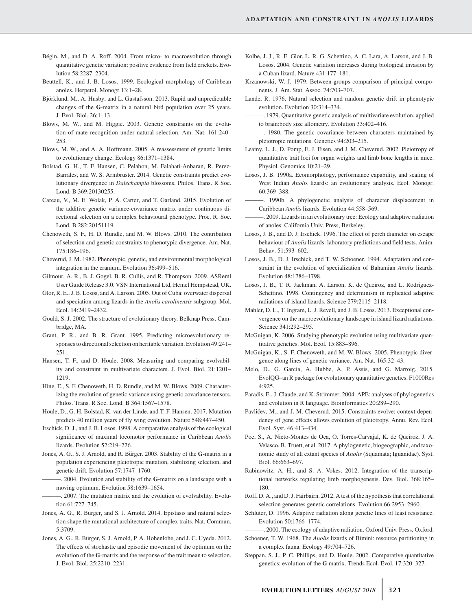- Bégin, M., and D. A. Roff. 2004. From micro- to macroevolution through quantitative genetic variation: positive evidence from field crickets. Evolution 58:2287–2304.
- Beuttell, K., and J. B. Losos. 1999. Ecological morphology of Caribbean anoles. Herpetol. Monogr 13:1–28.
- Björklund, M., A. Husby, and L. Gustafsson. 2013. Rapid and unpredictable changes of the **G**-matrix in a natural bird population over 25 years. J. Evol. Biol. 26:1–13.
- Blows, M. W., and M. Higgie. 2003. Genetic constraints on the evolution of mate recognition under natural selection. Am. Nat. 161:240– 253.
- Blows, M. W., and A. A. Hoffmann. 2005. A reassessment of genetic limits to evolutionary change. Ecology 86:1371–1384.
- Bolstad, G. H., T. F. Hansen, C. Pelabon, M. Falahati-Anbaran, R. Perez-Barrales, and W. S. Armbruster. 2014. Genetic constraints predict evolutionary divergence in *Dalechampia* blossoms. Philos. Trans. R Soc. Lond. B 369:20130255.
- Careau, V., M. E. Wolak, P. A. Carter, and T. Garland. 2015. Evolution of the additive genetic variance-covariance matrix under continuous directional selection on a complex behavioural phenotype. Proc. R. Soc. Lond. B 282:20151119.
- Chenoweth, S. F., H. D. Rundle, and M. W. Blows. 2010. The contribution of selection and genetic constraints to phenotypic divergence. Am. Nat. 175:186–196.
- Cheverud, J. M. 1982. Phenotypic, genetic, and environmental morphological integration in the cranium. Evolution 36:499–516.
- Gilmour, A. R., B. J. Gogel, B. R. Cullis, and R. Thompson. 2009. ASReml User Guide Release 3.0. VSN International Ltd, Hemel Hempstead, UK.
- Glor, R. E., J. B. Losos, and A. Larson. 2005. Out of Cuba: overwater dispersal and speciation among lizards in the *Anolis carolinensis* subgroup. Mol. Ecol. 14:2419–2432.
- Gould, S. J. 2002. The structure of evolutionary theory. Belknap Press, Cambridge, MA.
- Grant, P. R., and B. R. Grant. 1995. Predicting microevolutionary responses to directional selection on heritable variation. Evolution 49:241– 251.
- Hansen, T. F., and D. Houle. 2008. Measuring and comparing evolvability and constraint in multivariate characters. J. Evol. Biol. 21:1201– 1219.
- Hine, E., S. F. Chenoweth, H. D. Rundle, and M. W. Blows. 2009. Characterizing the evolution of genetic variance using genetic covariance tensors. Philos. Trans. R Soc. Lond. B 364:1567–1578.
- Houle, D., G. H. Bolstad, K. van der Linde, and T. F. Hansen. 2017. Mutation predicts 40 million years of fly wing evolution. Nature 548:447–450.
- Irschick, D. J., and J. B. Losos. 1998. A comparative analysis of the ecological significance of maximal locomotor performance in Caribbean *Anolis* lizards. Evolution 52:219–226.
- Jones, A. G., S. J. Arnold, and R. Bürger. 2003. Stability of the G-matrix in a population experiencing pleiotropic mutation, stabilizing selection, and genetic drift. Evolution 57:1747–1760.
	- ———. 2004. Evolution and stability of the **G**-matrix on a landscape with a moving optimum. Evolution 58:1639–1654.
	- -. 2007. The mutation matrix and the evolution of evolvability. Evolution 61:727–745.
- Jones, A. G., R. Bürger, and S. J. Arnold. 2014. Epistasis and natural selection shape the mutational architecture of complex traits. Nat. Commun. 5:3709.
- Jones, A. G., R. Bürger, S. J. Arnold, P. A. Hohenlohe, and J. C. Uyeda. 2012. The effects of stochastic and episodic movement of the optimum on the evolution of the **G**-matrix and the response of the trait mean to selection. J. Evol. Biol. 25:2210–2231.
- Kolbe, J. J., R. E. Glor, L. R. G. Schettino, A. C. Lara, A. Larson, and J. B. Losos. 2004. Genetic variation increases during biological invasion by a Cuban lizard. Nature 431:177–181.
- Krzanowski, W. J. 1979. Between-groups comparison of principal components. J. Am. Stat. Assoc. 74:703–707.
- Lande, R. 1976. Natural selection and random genetic drift in phenotypic evolution. Evolution 30:314–334.
- ———. 1979. Quantitative genetic analysis of multivariate evolution, applied to brain:body size allometry. Evolution 33:402–416.
- ———. 1980. The genetic covariance between characters maintained by pleiotropic mutations. Genetics 94:203–215.
- Leamy, L. J., D. Pomp, E. J. Eisen, and J. M. Cheverud. 2002. Pleiotropy of quantitative trait loci for organ weights and limb bone lengths in mice. Physiol. Genomics 10:21–29.
- Losos, J. B. 1990a. Ecomorphology, performance capability, and scaling of West Indian *Anoli*s lizards: an evolutionary analysis. Ecol. Monogr. 60:369–388.
- ———. 1990b. A phylogenetic analysis of character displacement in Caribbean *Anolis* lizards. Evolution 44:558–569.
- ———. 2009. Lizards in an evolutionary tree: Ecology and adaptive radiation of anoles. California Univ. Press, Berkeley.
- Losos, J. B., and D. J. Irschick. 1996. The effect of perch diameter on escape behaviour of *Anolis* lizards: laboratory predictions and field tests. Anim. Behav. 51:593–602.
- Losos, J. B., D. J. Irschick, and T. W. Schoener. 1994. Adaptation and constraint in the evolution of specialization of Bahamian *Anolis* lizards. Evolution 48:1786–1798.
- Losos, J. B., T. R. Jackman, A. Larson, K. de Queiroz, and L. Rodríguez-Schettino. 1998. Contingency and determinism in replicated adaptive radiations of island lizards. Science 279:2115–2118.
- Mahler, D. L., T. Ingram, L. J. Revell, and J. B. Losos. 2013. Exceptional convergence on the macroevolutionary landscape in island lizard radiations. Science 341:292–295.
- McGuigan, K. 2006. Studying phenotypic evolution using multivariate quantitative genetics. Mol. Ecol. 15:883–896.
- McGuigan, K., S. F. Chenoweth, and M. W. Blows. 2005. Phenotypic divergence along lines of genetic variance. Am. Nat. 165:32–43.
- Melo, D., G. Garcia, A. Hubbe, A. P. Assis, and G. Marroig. 2015. EvolQG–an R package for evolutionary quantitative genetics. F1000Res 4:925.
- Paradis, E., J. Claude, and K. Strimmer. 2004. APE: analyses of phylogenetics and evolution in R language. Bioinformatics 20:289–290.
- Pavličev, M., and J. M. Cheverud. 2015. Constraints evolve: context dependency of gene effects allows evolution of pleiotropy. Annu. Rev. Ecol. Evol. Syst. 46:413–434.
- Poe, S., A. Nieto-Montes de Oca, O. Torres-Carvajal, K. de Queiroz, J. A. Velasco, B. Truett, et al. 2017. A phylogenetic, biogeographic, and taxonomic study of all extant species of *Anolis* (Squamata; Iguanidae). Syst. Biol. 66:663–697.
- Rabinowitz, A. H., and S. A. Vokes. 2012. Integration of the transcriptional networks regulating limb morphogenesis. Dev. Biol. 368:165– 180.
- Roff, D. A., and D. J. Fairbairn. 2012. A test of the hypothesis that correlational selection generates genetic correlations. Evolution 66:2953–2960.
- Schluter, D. 1996. Adaptive radiation along genetic lines of least resistance. Evolution 50:1766–1774.
- -. 2000. The ecology of adaptive radiation. Oxford Univ. Press, Oxford. Schoener, T. W. 1968. The *Anolis* lizards of Bimini: resource partitioning in a complex fauna. Ecology 49:704–726.
- Steppan, S. J., P. C. Phillips, and D. Houle. 2002. Comparative quantitative genetics: evolution of the **G** matrix. Trends Ecol. Evol. 17:320–327.